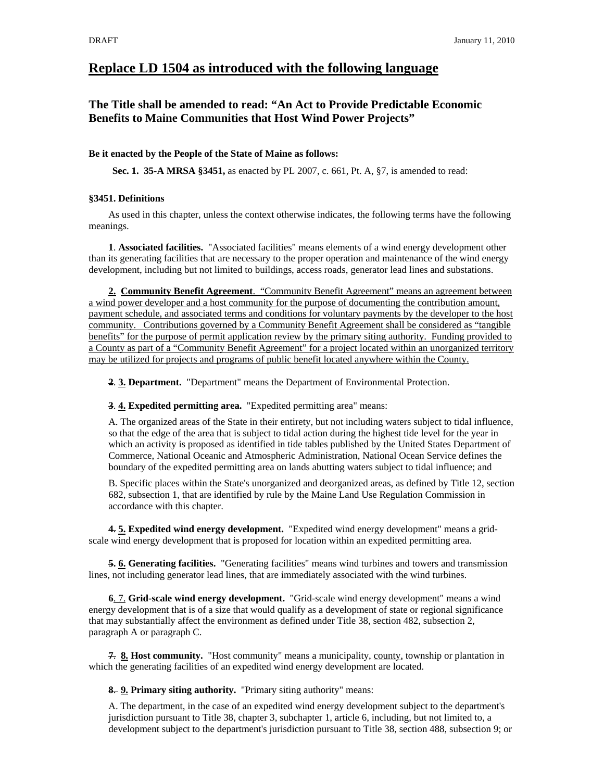# **Replace LD 1504 as introduced with the following language**

## **The Title shall be amended to read: "An Act to Provide Predictable Economic Benefits to Maine Communities that Host Wind Power Projects"**

#### **Be it enacted by the People of the State of Maine as follows:**

**Sec. 1. 35-A MRSA §3451,** as enacted by PL 2007, c. 661, Pt. A, §7, is amended to read:

#### **§3451. Definitions**

As used in this chapter, unless the context otherwise indicates, the following terms have the following meanings.

**1**. **Associated facilities.** "Associated facilities" means elements of a wind energy development other than its generating facilities that are necessary to the proper operation and maintenance of the wind energy development, including but not limited to buildings, access roads, generator lead lines and substations.

**2. Community Benefit Agreement**. "Community Benefit Agreement" means an agreement between a wind power developer and a host community for the purpose of documenting the contribution amount, payment schedule, and associated terms and conditions for voluntary payments by the developer to the host community. Contributions governed by a Community Benefit Agreement shall be considered as "tangible benefits" for the purpose of permit application review by the primary siting authority. Funding provided to a County as part of a "Community Benefit Agreement" for a project located within an unorganized territory may be utilized for projects and programs of public benefit located anywhere within the County.

**2**. **3. Department.** "Department" means the Department of Environmental Protection.

#### **3**. **4. Expedited permitting area.** "Expedited permitting area" means:

A. The organized areas of the State in their entirety, but not including waters subject to tidal influence, so that the edge of the area that is subject to tidal action during the highest tide level for the year in which an activity is proposed as identified in tide tables published by the United States Department of Commerce, National Oceanic and Atmospheric Administration, National Ocean Service defines the boundary of the expedited permitting area on lands abutting waters subject to tidal influence; and

B. Specific places within the State's unorganized and deorganized areas, as defined by Title 12, section 682, subsection 1, that are identified by rule by the Maine Land Use Regulation Commission in accordance with this chapter.

**4**. **5. Expedited wind energy development.** "Expedited wind energy development" means a gridscale wind energy development that is proposed for location within an expedited permitting area.

**5. 6. Generating facilities.** "Generating facilities" means wind turbines and towers and transmission lines, not including generator lead lines, that are immediately associated with the wind turbines.

**6**. 7. **Grid-scale wind energy development.** "Grid-scale wind energy development" means a wind energy development that is of a size that would qualify as a development of state or regional significance that may substantially affect the environment as defined under Title 38, section 482, subsection 2, paragraph A or paragraph C.

**7**. **8. Host community.** "Host community" means a municipality, county, township or plantation in which the generating facilities of an expedited wind energy development are located.

**8**. **9. Primary siting authority.** "Primary siting authority" means:

A. The department, in the case of an expedited wind energy development subject to the department's jurisdiction pursuant to Title 38, chapter 3, subchapter 1, article 6, including, but not limited to, a development subject to the department's jurisdiction pursuant to Title 38, section 488, subsection 9; or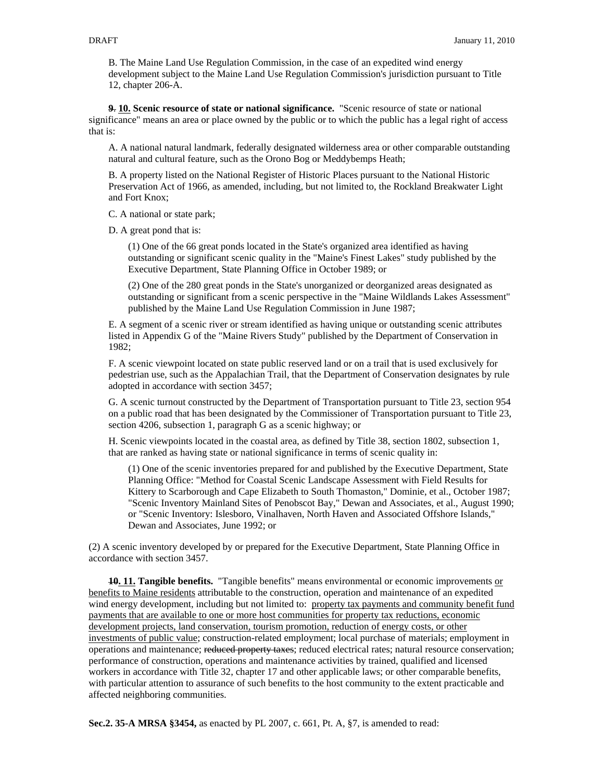B. The Maine Land Use Regulation Commission, in the case of an expedited wind energy development subject to the Maine Land Use Regulation Commission's jurisdiction pursuant to Title 12, chapter 206-A.

**9**. **10. Scenic resource of state or national significance.** "Scenic resource of state or national significance" means an area or place owned by the public or to which the public has a legal right of access that is:

A. A national natural landmark, federally designated wilderness area or other comparable outstanding natural and cultural feature, such as the Orono Bog or Meddybemps Heath;

B. A property listed on the National Register of Historic Places pursuant to the National Historic Preservation Act of 1966, as amended, including, but not limited to, the Rockland Breakwater Light and Fort Knox;

C. A national or state park;

D. A great pond that is:

(1) One of the 66 great ponds located in the State's organized area identified as having outstanding or significant scenic quality in the "Maine's Finest Lakes" study published by the Executive Department, State Planning Office in October 1989; or

(2) One of the 280 great ponds in the State's unorganized or deorganized areas designated as outstanding or significant from a scenic perspective in the "Maine Wildlands Lakes Assessment" published by the Maine Land Use Regulation Commission in June 1987;

E. A segment of a scenic river or stream identified as having unique or outstanding scenic attributes listed in Appendix G of the "Maine Rivers Study" published by the Department of Conservation in 1982;

F. A scenic viewpoint located on state public reserved land or on a trail that is used exclusively for pedestrian use, such as the Appalachian Trail, that the Department of Conservation designates by rule adopted in accordance with section 3457;

G. A scenic turnout constructed by the Department of Transportation pursuant to Title 23, section 954 on a public road that has been designated by the Commissioner of Transportation pursuant to Title 23, section 4206, subsection 1, paragraph G as a scenic highway; or

H. Scenic viewpoints located in the coastal area, as defined by Title 38, section 1802, subsection 1, that are ranked as having state or national significance in terms of scenic quality in:

(1) One of the scenic inventories prepared for and published by the Executive Department, State Planning Office: "Method for Coastal Scenic Landscape Assessment with Field Results for Kittery to Scarborough and Cape Elizabeth to South Thomaston," Dominie, et al., October 1987; "Scenic Inventory Mainland Sites of Penobscot Bay," Dewan and Associates, et al., August 1990; or "Scenic Inventory: Islesboro, Vinalhaven, North Haven and Associated Offshore Islands," Dewan and Associates, June 1992; or

(2) A scenic inventory developed by or prepared for the Executive Department, State Planning Office in accordance with section 3457.

**10. 11. Tangible benefits.** "Tangible benefits" means environmental or economic improvements or benefits to Maine residents attributable to the construction, operation and maintenance of an expedited wind energy development, including but not limited to: property tax payments and community benefit fund payments that are available to one or more host communities for property tax reductions, economic development projects, land conservation, tourism promotion, reduction of energy costs, or other investments of public value; construction-related employment; local purchase of materials; employment in operations and maintenance; reduced property taxes; reduced electrical rates; natural resource conservation; performance of construction, operations and maintenance activities by trained, qualified and licensed workers in accordance with Title 32, chapter 17 and other applicable laws; or other comparable benefits, with particular attention to assurance of such benefits to the host community to the extent practicable and affected neighboring communities.

**Sec.2. 35-A MRSA §3454,** as enacted by PL 2007, c. 661, Pt. A, §7, is amended to read: